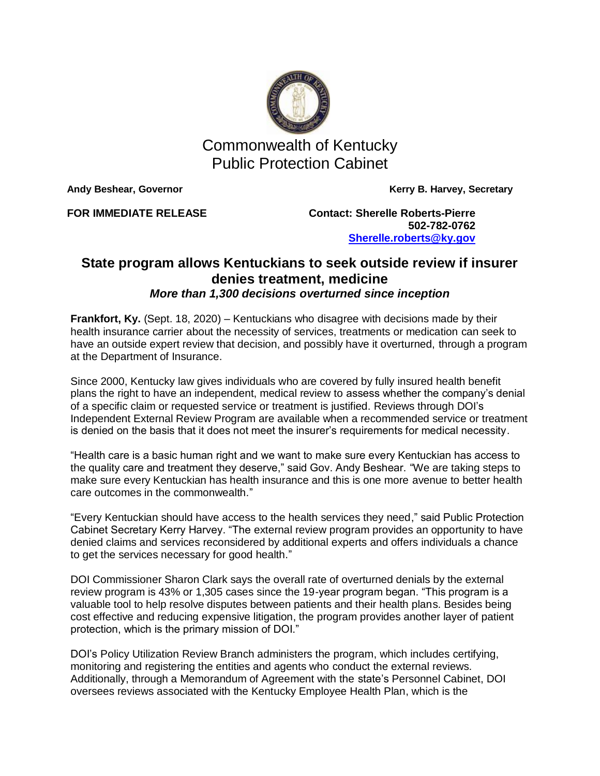

Commonwealth of Kentucky Public Protection Cabinet

Andy Beshear, Governor **Kerry B. Harvey, Secretary** 

**FOR IMMEDIATE RELEASE Contact: Sherelle Roberts-Pierre 502-782-0762 [Sherelle.roberts@ky.gov](mailto:Sherelle.roberts@ky.gov)**

## **State program allows Kentuckians to seek outside review if insurer denies treatment, medicine** *More than 1,300 decisions overturned since inception*

**Frankfort, Ky.** (Sept. 18, 2020) – Kentuckians who disagree with decisions made by their health insurance carrier about the necessity of services, treatments or medication can seek to have an outside expert review that decision, and possibly have it overturned, through a program at the Department of Insurance.

Since 2000, Kentucky law gives individuals who are covered by fully insured health benefit plans the right to have an independent, medical review to assess whether the company's denial of a specific claim or requested service or treatment is justified. Reviews through DOI's Independent External Review Program are available when a recommended service or treatment is denied on the basis that it does not meet the insurer's requirements for medical necessity.

"Health care is a basic human right and we want to make sure every Kentuckian has access to the quality care and treatment they deserve," said Gov. Andy Beshear. "We are taking steps to make sure every Kentuckian has health insurance and this is one more avenue to better health care outcomes in the commonwealth."

"Every Kentuckian should have access to the health services they need," said Public Protection Cabinet Secretary Kerry Harvey. "The external review program provides an opportunity to have denied claims and services reconsidered by additional experts and offers individuals a chance to get the services necessary for good health."

DOI Commissioner Sharon Clark says the overall rate of overturned denials by the external review program is 43% or 1,305 cases since the 19-year program began. "This program is a valuable tool to help resolve disputes between patients and their health plans. Besides being cost effective and reducing expensive litigation, the program provides another layer of patient protection, which is the primary mission of DOI."

DOI's Policy Utilization Review Branch administers the program, which includes certifying, monitoring and registering the entities and agents who conduct the external reviews. Additionally, through a Memorandum of Agreement with the state's Personnel Cabinet, DOI oversees reviews associated with the Kentucky Employee Health Plan, which is the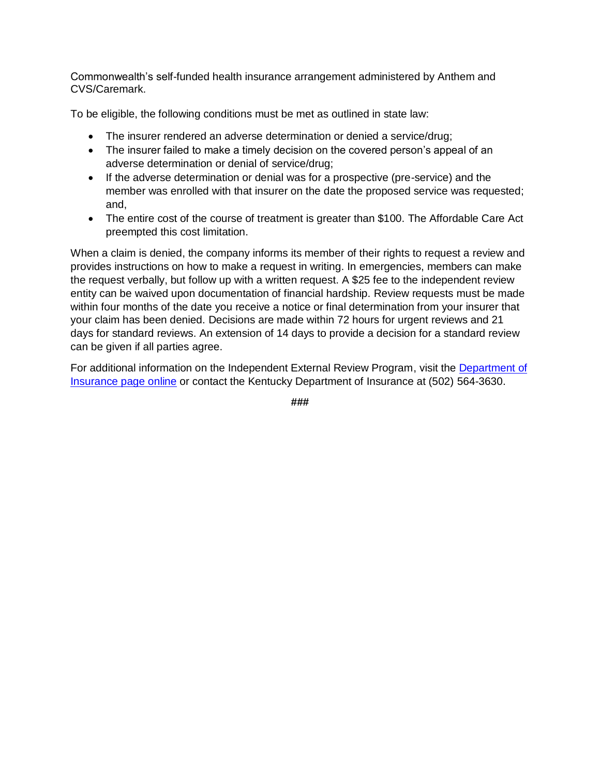Commonwealth's self-funded health insurance arrangement administered by Anthem and CVS/Caremark.

To be eligible, the following conditions must be met as outlined in state law:

- The insurer rendered an adverse determination or denied a service/drug;
- The insurer failed to make a timely decision on the covered person's appeal of an adverse determination or denial of service/drug;
- If the adverse determination or denial was for a prospective (pre-service) and the member was enrolled with that insurer on the date the proposed service was requested; and,
- The entire cost of the course of treatment is greater than \$100. The Affordable Care Act preempted this cost limitation.

When a claim is denied, the company informs its member of their rights to request a review and provides instructions on how to make a request in writing. In emergencies, members can make the request verbally, but follow up with a written request. A \$25 fee to the independent review entity can be waived upon documentation of financial hardship. Review requests must be made within four months of the date you receive a notice or final determination from your insurer that your claim has been denied. Decisions are made within 72 hours for urgent reviews and 21 days for standard reviews. An extension of 14 days to provide a decision for a standard review can be given if all parties agree.

For additional information on the Independent External Review Program, visit the [Department of](https://insurance.ky.gov/ppc/Documents/abdappeal071217.pdf)  Insurance [page online](https://insurance.ky.gov/ppc/Documents/abdappeal071217.pdf) or contact the Kentucky Department of Insurance at (502) 564-3630.

**###**